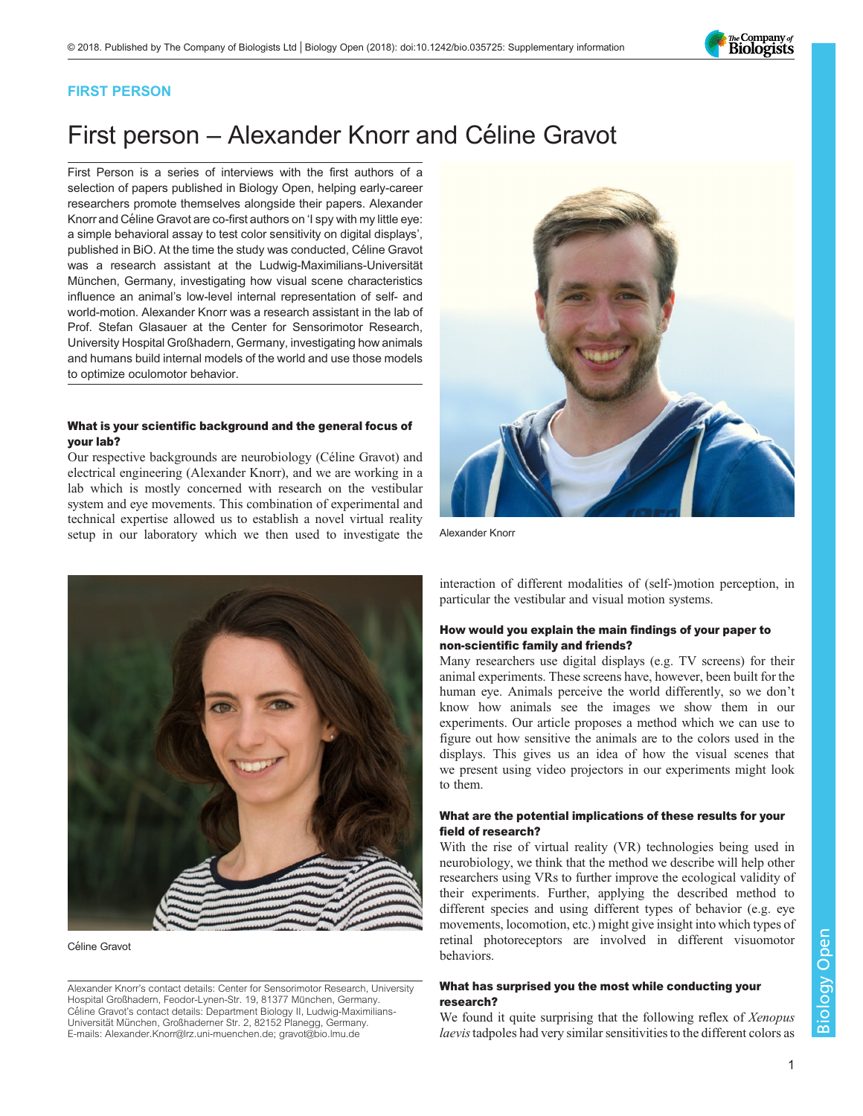The Company of<br>**Biologists** 

## FIRST PERSON

# First person – Alexander Knorr and Céline Gravot

First Person is a series of interviews with the first authors of a selection of papers published in Biology Open, helping early-career researchers promote themselves alongside their papers. Alexander Knorr and Céline Gravot are co-first authors on '[I spy with my little eye:](#page-1-0) [a simple behavioral assay to test color sensitivity on digital displays](#page-1-0)', published in BiO. At the time the study was conducted, Céline Gravot was a research assistant at the Ludwig-Maximilians-Universität München, Germany, investigating how visual scene characteristics influence an animal's low-level internal representation of self- and world-motion. Alexander Knorr was a research assistant in the lab of Prof. Stefan Glasauer at the Center for Sensorimotor Research, University Hospital Großhadern, Germany, investigating how animals and humans build internal models of the world and use those models to optimize oculomotor behavior.

#### What is your scientific background and the general focus of your lab?

Our respective backgrounds are neurobiology (Céline Gravot) and electrical engineering (Alexander Knorr), and we are working in a lab which is mostly concerned with research on the vestibular system and eye movements. This combination of experimental and technical expertise allowed us to establish a novel virtual reality setup in our laboratory which we then used to investigate the



Alexander Knorr



Céline Gravot

Alexander Knorr's contact details: Center for Sensorimotor Research, University Hospital Großhadern, Feodor-Lynen-Str. 19, 81377 München, Germany. Céline Gravot's contact details: Department Biology II, Ludwig-Maximilians-Universität München, Großhaderner Str. 2, 82152 Planegg, Germany. E-mails: [Alexander.Knorr@lrz.uni-muenchen.de](mailto:Alexander.Knorr@lrz.uni-muenchen.de); [gravot@bio.lmu.de](mailto:gravot@bio.lmu.de)

interaction of different modalities of (self-)motion perception, in particular the vestibular and visual motion systems.

#### How would you explain the main findings of your paper to non-scientific family and friends?

Many researchers use digital displays (e.g. TV screens) for their animal experiments. These screens have, however, been built for the human eye. Animals perceive the world differently, so we don't know how animals see the images we show them in our experiments. Our article proposes a method which we can use to figure out how sensitive the animals are to the colors used in the displays. This gives us an idea of how the visual scenes that we present using video projectors in our experiments might look to them.

#### What are the potential implications of these results for your field of research?

With the rise of virtual reality (VR) technologies being used in neurobiology, we think that the method we describe will help other researchers using VRs to further improve the ecological validity of their experiments. Further, applying the described method to different species and using different types of behavior (e.g. eye movements, locomotion, etc.) might give insight into which types of retinal photoreceptors are involved in different visuomotor behaviors.

### What has surprised you the most while conducting your research?

We found it quite surprising that the following reflex of Xenopus laevistadpoles had very similar sensitivities to the different colors as